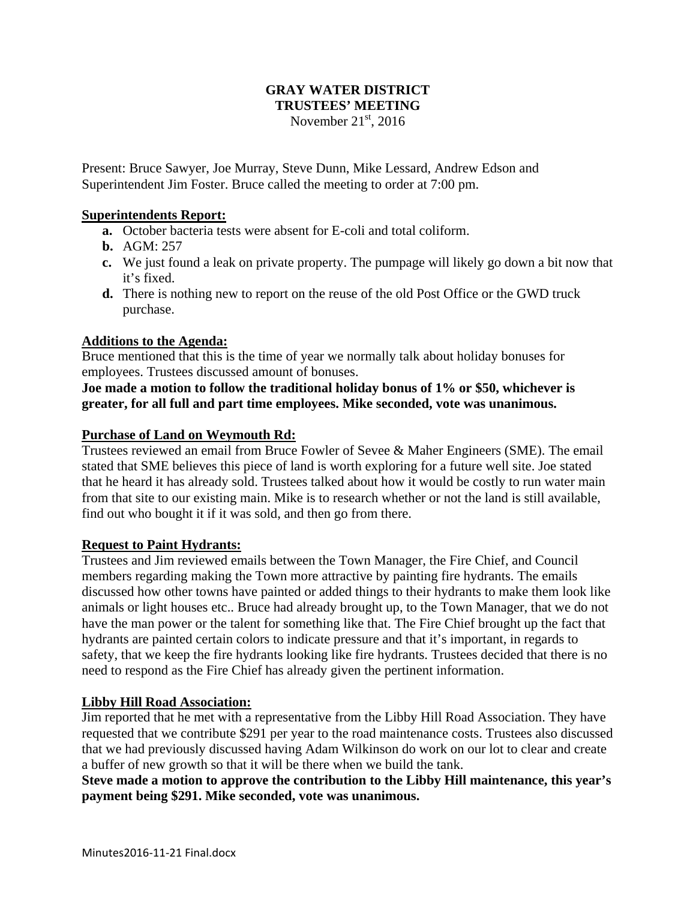### **GRAY WATER DISTRICT TRUSTEES' MEETING**  November  $21<sup>st</sup>$ , 2016

Present: Bruce Sawyer, Joe Murray, Steve Dunn, Mike Lessard, Andrew Edson and Superintendent Jim Foster. Bruce called the meeting to order at 7:00 pm.

# **Superintendents Report:**

- **a.** October bacteria tests were absent for E-coli and total coliform.
- **b.** AGM: 257
- **c.** We just found a leak on private property. The pumpage will likely go down a bit now that it's fixed.
- **d.** There is nothing new to report on the reuse of the old Post Office or the GWD truck purchase.

# **Additions to the Agenda:**

Bruce mentioned that this is the time of year we normally talk about holiday bonuses for employees. Trustees discussed amount of bonuses.

**Joe made a motion to follow the traditional holiday bonus of 1% or \$50, whichever is greater, for all full and part time employees. Mike seconded, vote was unanimous.** 

# **Purchase of Land on Weymouth Rd:**

Trustees reviewed an email from Bruce Fowler of Sevee & Maher Engineers (SME). The email stated that SME believes this piece of land is worth exploring for a future well site. Joe stated that he heard it has already sold. Trustees talked about how it would be costly to run water main from that site to our existing main. Mike is to research whether or not the land is still available, find out who bought it if it was sold, and then go from there.

#### **Request to Paint Hydrants:**

Trustees and Jim reviewed emails between the Town Manager, the Fire Chief, and Council members regarding making the Town more attractive by painting fire hydrants. The emails discussed how other towns have painted or added things to their hydrants to make them look like animals or light houses etc.. Bruce had already brought up, to the Town Manager, that we do not have the man power or the talent for something like that. The Fire Chief brought up the fact that hydrants are painted certain colors to indicate pressure and that it's important, in regards to safety, that we keep the fire hydrants looking like fire hydrants. Trustees decided that there is no need to respond as the Fire Chief has already given the pertinent information.

#### **Libby Hill Road Association:**

Jim reported that he met with a representative from the Libby Hill Road Association. They have requested that we contribute \$291 per year to the road maintenance costs. Trustees also discussed that we had previously discussed having Adam Wilkinson do work on our lot to clear and create a buffer of new growth so that it will be there when we build the tank.

**Steve made a motion to approve the contribution to the Libby Hill maintenance, this year's payment being \$291. Mike seconded, vote was unanimous.**